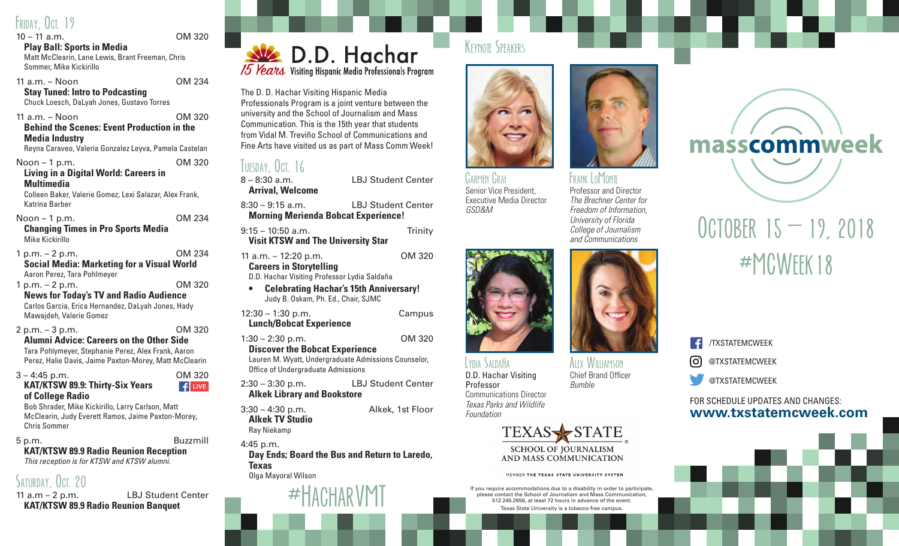## FRIDAY OCT. 19

## 10 – 11 a.m. OM 320

**Play Ball: Sports in Media** Matt McClearin, Lane Lewis, Brant Freeman, Chris Sommer, Mike Kickirillo

11 a.m. – Noon OM 234 **Stay Tuned: Intro to Podcasting**

Chuck Loesch, DaLyah Jones, Gustavo Torres

11 a.m. – Noon OM 320 **Behind the Scenes: Event Production in the Media Industry** Reyna Caraveo, Valeria Gonzalez Leyva, Pamela Castelan

Noon – 1 p.m. OM 320 **Living in a Digital World: Careers in Multimedia** Colleen Baker, Valerie Gomez, Lexi Salazar, Alex Frank, Katrina Barber Noon – 1 p.m. OM 234 **Changing Times in Pro Sports Media** Mike Kickirillo 1 p.m. – 2 p.m. OM 234 **Social Media: Marketing for a Visual World**  Aaron Perez, Tara Pohlmeyer 1 p.m. – 2 p.m. OM 320 **News for Today's TV and Radio Audience** Carlos Garcia, Erica Hernandez, DaLyah Jones, Hady Mawajdeh, Valerie Gomez 2 p.m. – 3 p.m. OM 320 **Alumni Advice: Careers on the Other Side** Tara Pohlymeyer, Stephanie Perez, Alex Frank, Aaron Perez, Halie Davis, Jaime Paxton-Morey, Matt McClearin 3 – 4:45 p.m. OM 320 **KAT/KTSW 89.9: Thirty-Six Years**   $\left| \right.$   $\left| \right.$   $\left| \right|$  LIVE **of College Radio** Bob Shrader, Mike Kickirillo, Larry Carlson, Matt McClearin, Judy Everett Ramos, Jaime Paxton-Morey, Chris Sommer

## 5 p.m. Buzzmill **KAT/KTSW 89.9 Radio Reunion Reception**

*This reception is for KTSW and KTSW alumni.*

# SATURDAY, OCT. 20

11 a.m – 2 p.m. LBJ Student Center **KAT/KTSW 89.9 Radio Reunion Banquet**



The D. D. Hachar Visiting Hispanic Media Professionals Program is a joint venture between the university and the School of Journalism and Mass Communication. This is the 15th year that students from Vidal M. Treviño School of Communications and Fine Arts have visited us as part of Mass Comm Week!

# TUESDAY, OCT. 16

8 – 8:30 a.m. LBJ Student Center **Arrival, Welcome** 8:30 – 9:15 a.m. LBJ Student Center **Morning Merienda Bobcat Experience!** 9:15 – 10:50 a.m. Trinity **Visit KTSW and The University Star** 11 a.m. – 12:20 p.m. OM 320 **Careers in Storytelling** D.D. Hachar Visiting Professor Lydia Saldaña **• Celebrating Hachar's 15th Anniversary!** Judy B. Oskam, Ph. Ed., Chair, SJMC 12:30 – 1:30 p.m. Campus **Lunch/Bobcat Experience** 1:30 – 2:30 p.m. OM 320 **Discover the Bobcat Experience**

Lauren M. Wyatt, Undergraduate Admissions Counselor, Office of Undergraduate Admissions

2:30 – 3:30 p.m. LBJ Student Center **Alkek Library and Bookstore**

3:30 – 4:30 p.m. Alkek, 1st Floor **Alkek TV Studio** Ray Niekamp

4:45 p.m.

**Day Ends; Board the Bus and Return to Laredo, Texas**

Olga Mayoral Wilson



## KEYNOTE SPEAKERS



FRANK LOMONTE Professor and Director *The Brechner Center for Freedom of Information, University of Florida College of Journalism and Communications*

Alex Williamson Chief Brand Officer

*Bumble*

Carmen Graf Senior Vice President, Executive Media Director *GSD&M*



Lydia Saldaña D.D. Hachar Visiting Professor Communications Director *Texas Parks and Wildlife Foundation*



MEMBER THE TEXAS STATE UNIVERSITY SYSTEM

If you require accommodations due to a disability in order to participate, please contact the School of Journalism and Mass Communication, 512.245.2656, at least 72 hours in advance of the event. Texas State University is a tobacco-free campus.



# OCTOBER  $15 - 19, 2018$  $\#M$ CWFFK18

/TXSTATEMCWEEK  $[O]$ @TXSTATEMCWEEK

@TXSTATEMCWEEK

#### **www.txstatemcweek.com** FOR SCHEDULE UPDATES AND CHANGES: